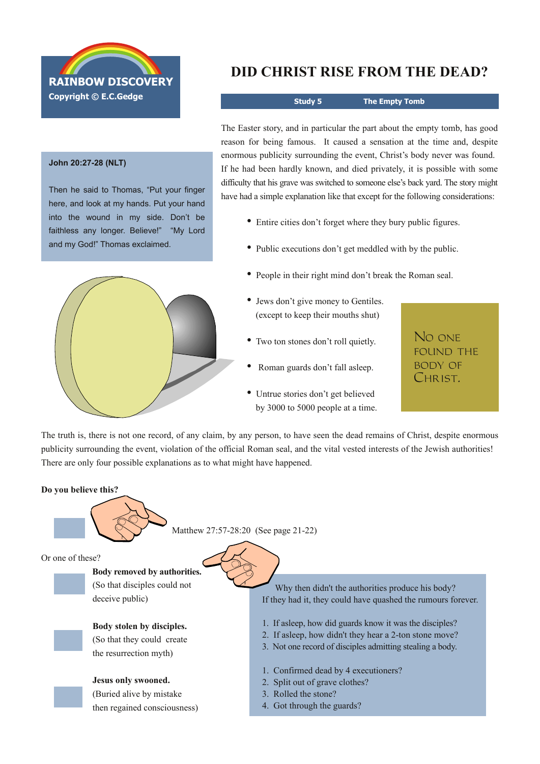

#### **John 20:2728 (NLT)**

Then he said to Thomas, "Put your finger here, and look at my hands. Put your hand into the wound in my side. Don't be faithless any longer. Believe!" "My Lord and my God!" Thomas exclaimed.



# **DID CHRIST RISE FROM THE DEAD?**

**Study 5 The Empty Tomb**

The Easter story, and in particular the part about the empty tomb, has good reason for being famous. It caused a sensation at the time and, despite enormous publicity surrounding the event, Christ's body never was found. If he had been hardly known, and died privately, it is possible with some difficulty that his grave was switched to someone else's back yard. The story might have had a simple explanation like that except for the following considerations:

- Entire cities don't forget where they bury public figures.
- Public executions don't get meddled with by the public.
- People in their right mind don't break the Roman seal.
- Jews don't give money to Gentiles. (except to keep their mouths shut)
- Two ton stones don't roll quietly.
- Roman guards don't fall asleep.
- Untrue stories don't get believed by 3000 to 5000 people at a time.

No one found the body of CHRIST.

The truth is, there is not one record, of any claim, by any person, to have seen the dead remains of Christ, despite enormous publicity surrounding the event, violation of the official Roman seal, and the vital vested interests of the Jewish authorities! There are only four possible explanations as to what might have happened.

#### **Do you believe this?**



Matthew 27:57-28:20 (See page 21-22)

Or one of these?

**Body removed by authorities.** (So that disciples could not deceive public)

**Body stolen by disciples.**

(So that they could create the resurrection myth)

### **Jesus only swooned.**

(Buried alive by mistake then regained consciousness)

Why then didn't the authorities produce his body? If they had it, they could have quashed the rumours forever.

- 1. If asleep, how did guards know it was the disciples?
- 2. If asleep, how didn't they hear a 2-ton stone move?
- 3. Not one record of disciples admitting stealing a body.
- 1. Confirmed dead by 4 executioners?
- 2. Split out of grave clothes?
- 3. Rolled the stone?
- 4. Got through the guards?